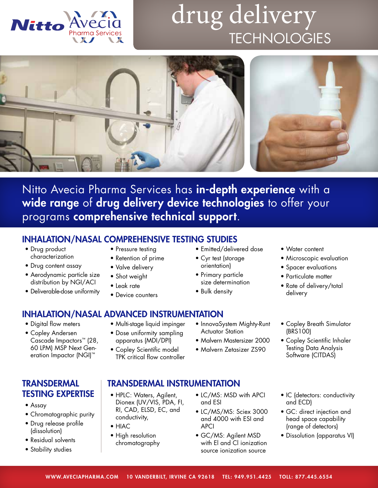

## drug delivery **TECHNOLOGIES**



Nitto Avecia Pharma Services has in-depth experience with a wide range of drug delivery device technologies to offer your programs comprehensive technical support.

## INHALATION/NASAL COMPREHENSIVE TESTING STUDIES

- Drug product characterization
- Drug content assay
- Aerodynamic particle size distribution by NGI/ACI
- Deliverable-dose uniformity
- Pressure testing
- Retention of prime
- Valve delivery
- Shot weight
- Leak rate
- Device counters
- INHALATION/NASAL ADVANCED INSTRUMENTATION
- Digital flow meters
- Copley Andersen Cascade Impactors™ (28, 60 LPM) MSP Next Generation Impactor (NGI)™

## **TRANSDERMAL** TESTING EXPERTISE

- Assay
- Chromatographic purity
- Drug release profile (dissolution)
- Residual solvents
- Stability studies
- Multi-stage liquid impinger
- Dose uniformity sampling apparatus (MDI/DPI)
- Copley Scientific model TPK critical flow controller
- InnovaSystem Mighty-Runt Actuator Station

• Emitted/delivered dose

• Cyr test (storage orientation) • Primary particle size determination

• Bulk density

- Malvern Mastersizer 2000
- Malvern Zetasizer ZS90

## TRANSDERMAL INSTRUMENTATION

- HPLC: Waters, Agilent, Dionex (UV/VIS, PDA, FI, RI, CAD, ELSD, EC, and conductivity,
- HIAC
- High resolution chromatography
- LC/MS: MSD with APCI and ESI
- LC/MS/MS: Sciex 3000 and 4000 with ESI and APCI
- GC/MS: Agilent MSD with El and Cl ionization source ionization source
- Water content
- Microscopic evaluation
- Spacer evaluations
- Particulate matter
- Rate of delivery/total delivery
- Copley Breath Simulator (BRS100)
- Copley Scientific Inhaler Testing Data Analysis Software (CITDAS)
- IC (detectors: conductivity and ECD)
- GC: direct injection and head space capability (range of detectors)
- Dissolution (apparatus VI)